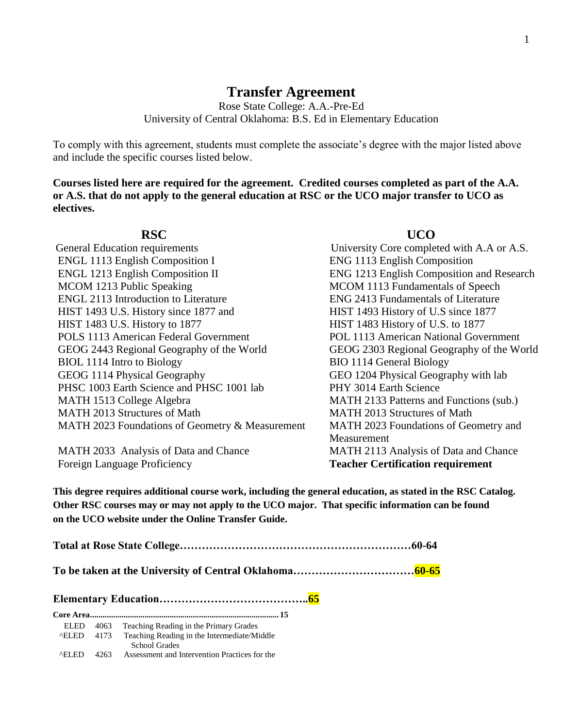## **Transfer Agreement**

Rose State College: A.A.-Pre-Ed University of Central Oklahoma: B.S. Ed in Elementary Education

To comply with this agreement, students must complete the associate's degree with the major listed above and include the specific courses listed below.

**Courses listed here are required for the agreement. Credited courses completed as part of the A.A. or A.S. that do not apply to the general education at RSC or the UCO major transfer to UCO as electives.**

| <b>General Education requirements</b>           |
|-------------------------------------------------|
| <b>ENGL 1113 English Composition I</b>          |
| <b>ENGL 1213 English Composition II</b>         |
| MCOM 1213 Public Speaking                       |
| <b>ENGL 2113 Introduction to Literature</b>     |
| HIST 1493 U.S. History since 1877 and           |
| HIST 1483 U.S. History to 1877                  |
| <b>POLS 1113 American Federal Government</b>    |
| GEOG 2443 Regional Geography of the World       |
| BIOL 1114 Intro to Biology                      |
| GEOG 1114 Physical Geography                    |
| PHSC 1003 Earth Science and PHSC 1001 lab       |
| MATH 1513 College Algebra                       |
| MATH 2013 Structures of Math                    |
| MATH 2023 Foundations of Geometry & Measurement |
|                                                 |

Foreign Language Proficiency **Teacher Certification requirement**

## **RSC UCO**

University Core completed with A.A or A.S. ENG 1113 English Composition ENG 1213 English Composition and Research MCOM 1113 Fundamentals of Speech ENG 2413 Fundamentals of Literature HIST 1493 History of U.S since 1877 HIST 1483 History of U.S. to 1877 POL 1113 American National Government GEOG 2303 Regional Geography of the World BIO 1114 General Biology GEO 1204 Physical Geography with lab PHY 3014 Earth Science MATH 2133 Patterns and Functions (sub.) MATH 2013 Structures of Math MATH 2023 Foundations of Geometry and Measurement MATH 2033 Analysis of Data and Chance MATH 2113 Analysis of Data and Chance

**This degree requires additional course work, including the general education, as stated in the RSC Catalog. Other RSC courses may or may not apply to the UCO major. That specific information can be found on the UCO website under the Online Transfer Guide.**

**Total at Rose State College………………………………………………………60-64**

**To be taken at the University of Central Oklahoma……………………………60-65**

**Elementary Education…………………………………..65**

**Core Area.......................................................................................... 15** ELED 4063 Teaching Reading in the Primary Grades ^ELED 4173 Teaching Reading in the Intermediate/Middle School Grades ^ELED 4263 Assessment and Intervention Practices for the